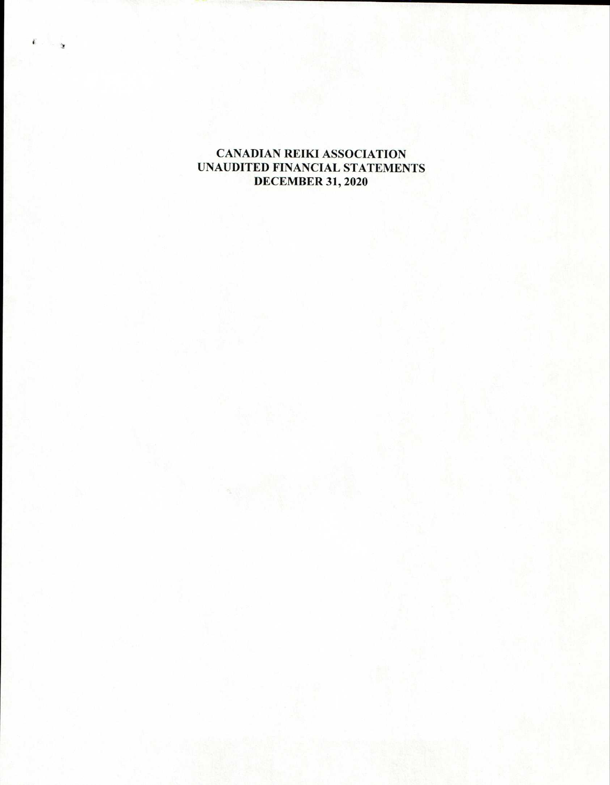# **CANADIAN REIKI ASSOCIATION UNAUDITED FINANCIAL STATEMENTS DECEMBER 31, 2020**

 $\mathbf{r}$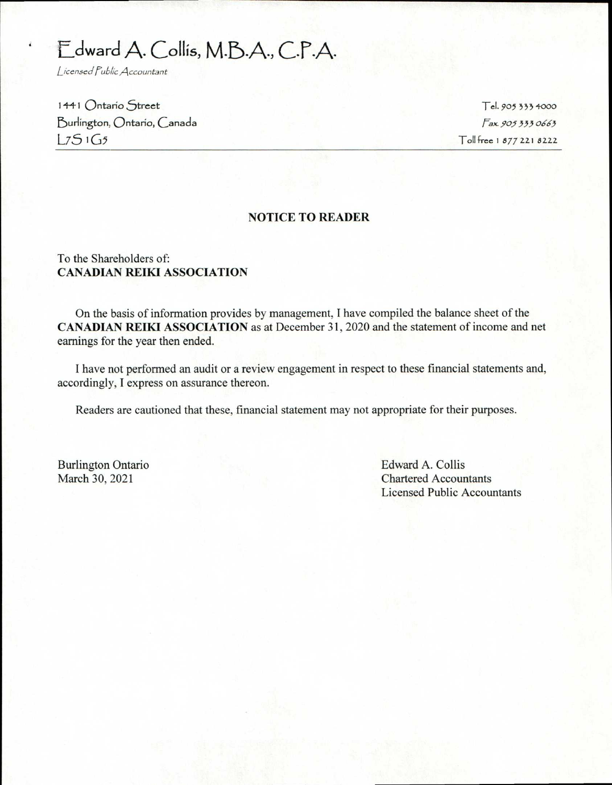# Edward A. Collis, M.B.A., C.P.A.

Licensed Public Accountant

1441 Ontario Street 5urlington, Ontario, Canada  $L751G5$ 

Tel. 905 333 4000 *Fax. 905 333 0663*  Toll free I 877 221 8222

#### **NOTICE TO READER**

#### To the Shareholders of: **CANADIAN REIKI ASSOCIATION**

On the basis of information provides by management, I have compiled the balance sheet of the **CANADIAN REIKI ASSOCIATION** as at December 31, 2020 and the statement of income and net earnings for the year then ended.

I have not performed an audit or a review engagement in respect to these financial statements and, accordingly, I express on assurance thereon.

Readers are cautioned that these, financial statement may not appropriate for their purposes.

Burlington Ontario **Edward A. Collis** March 30, 2021 Chartered Accountants Licensed Public Accountants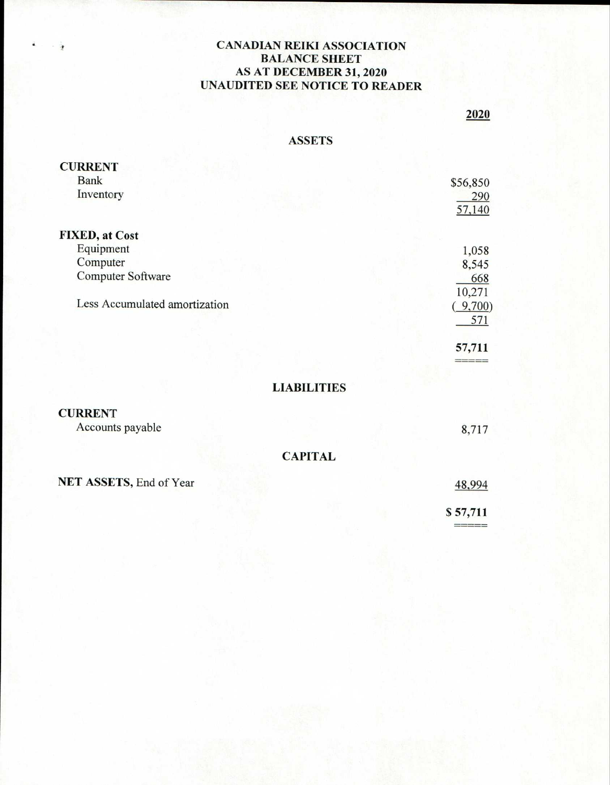## CANADIAN REIKI ASSOCIATION BALANCE SHEET AS AT DECEMBER 31, 2020 UNAUDITED SEE NOTICE TO READER

# 2020

### ASSETS

| <b>CURRENT</b>                |          |
|-------------------------------|----------|
| <b>Bank</b>                   | \$56,850 |
| Inventory                     | 290      |
|                               | 57,140   |
| <b>FIXED, at Cost</b>         |          |
| Equipment                     | 1,058    |
| Computer                      | 8,545    |
| Computer Software             | 668      |
|                               | 10,271   |
| Less Accumulated amortization | 9,700    |
|                               | 571      |
|                               | 57,711   |
|                               |          |
| <b>LIABILITIES</b>            |          |

# **CURRENT**

Accounts payable 8,717

CAPITAL

NET ASSETS, End of Year 48,994

\$ 57,711

=====